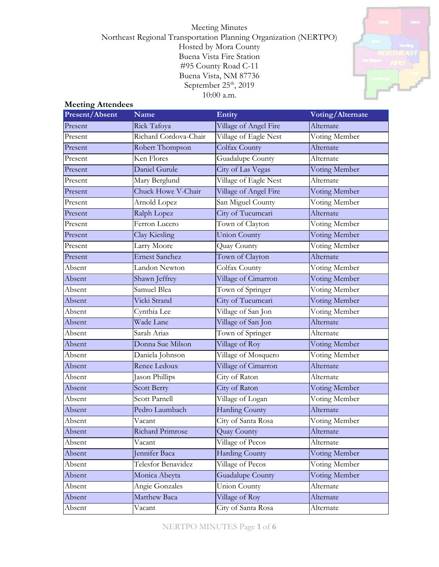# Meeting Minutes Northeast Regional Transportation Planning Organization (NERTPO) Hosted by Mora County Buena Vista Fire Station #95 County Road C-11 Buena Vista, NM 87736 September  $25<sup>th</sup>$ , 2019 10:00 a.m.



# **Meeting Attendees**

| Present/Absent | <b>Name</b>           | Entity                | Voting/Alternate |
|----------------|-----------------------|-----------------------|------------------|
| Present        | Rick Tafoya           | Village of Angel Fire | Alternate        |
| Present        | Richard Cordova-Chair | Village of Eagle Nest | Voting Member    |
| Present        | Robert Thompson       | Colfax County         | Alternate        |
| Present        | Ken Flores            | Guadalupe County      | Alternate        |
| Present        | Daniel Gurule         | City of Las Vegas     | Voting Member    |
| Present        | Mary Berglund         | Village of Eagle Nest | Alternate        |
| Present        | Chuck Howe V-Chair    | Village of Angel Fire | Voting Member    |
| Present        | Arnold Lopez          | San Miguel County     | Voting Member    |
| Present        | Ralph Lopez           | City of Tucumcari     | Alternate        |
| Present        | Ferron Lucero         | Town of Clayton       | Voting Member    |
| Present        | <b>Clay Kiesling</b>  | <b>Union County</b>   | Voting Member    |
| Present        | Larry Moore           | Quay County           | Voting Member    |
| Present        | <b>Ernest Sanchez</b> | Town of Clayton       | Alternate        |
| Absent         | Landon Newton         | Colfax County         | Voting Member    |
| Absent         | Shawn Jeffrey         | Village of Cimarron   | Voting Member    |
| Absent         | Samuel Blea           | Town of Springer      | Voting Member    |
| Absent         | Vicki Strand          | City of Tucumcari     | Voting Member    |
| Absent         | Cynthia Lee           | Village of San Jon    | Voting Member    |
| Absent         | Wade Lane             | Village of San Jon    | Alternate        |
| Absent         | Sarah Arias           | Town of Springer      | Alternate        |
| Absent         | Donna Sue Milson      | Village of Roy        | Voting Member    |
| Absent         | Daniela Johnson       | Village of Mosquero   | Voting Member    |
| Absent         | Renee Ledoux          | Village of Cimarron   | Alternate        |
| Absent         | Jason Phillips        | City of Raton         | Alternate        |
| Absent         | <b>Scott Berry</b>    | City of Raton         | Voting Member    |
| Absent         | Scott Parnell         | Village of Logan      | Voting Member    |
| Absent         | Pedro Laumbach        | <b>Harding County</b> | Alternate        |
| Absent         | Vacant                | City of Santa Rosa    | Voting Member    |
| Absent         | Richard Primrose      | Quay County           | Alternate        |
| Absent         | Vacant                | Village of Pecos      | Alternate        |
| Absent         | Jennifer Baca         | <b>Harding County</b> | Voting Member    |
| Absent         | Telesfor Benavidez    | Village of Pecos      | Voting Member    |
| Absent         | Monica Abeyta         | Guadalupe County      | Voting Member    |
| Absent         | Angie Gonzales        | <b>Union County</b>   | Alternate        |
| Absent         | Matthew Baca          | Village of Roy        | Alternate        |
| Absent         | Vacant                | City of Santa Rosa    | Alternate        |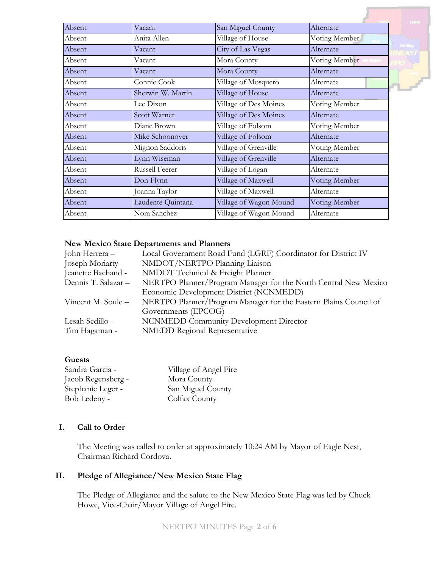| Absent | Vacant                | San Miguel County      | Alternate     |
|--------|-----------------------|------------------------|---------------|
| Absent | Anita Allen           | Village of House       | Voting Member |
| Absent | Vacant                | City of Las Vegas      | Alternate     |
| Absent | Vacant                | Mora County            | Voting Member |
| Absent | Vacant                | Mora County            | Alternate     |
| Absent | Connie Cook           | Village of Mosquero    | Alternate     |
| Absent | Sherwin W. Martin     | Village of House       | Alternate     |
| Absent | Lee Dixon             | Village of Des Moines  | Voting Member |
| Absent | Scott Warner          | Village of Des Moines  | Alternate     |
| Absent | Diane Brown           | Village of Folsom      | Voting Member |
| Absent | Mike Schoonover       | Village of Folsom      | Alternate     |
| Absent | Mignon Saddoris       | Village of Grenville   | Voting Member |
| Absent | Lynn Wiseman          | Village of Grenville   | Alternate     |
| Absent | <b>Russell Feerer</b> | Village of Logan       | Alternate     |
| Absent | Don Flynn             | Village of Maxwell     | Voting Member |
| Absent | Joanna Taylor         | Village of Maxwell     | Alternate     |
| Absent | Laudente Quintana     | Village of Wagon Mound | Voting Member |
| Absent | Nora Sanchez          | Village of Wagon Mound | Alternate     |
|        |                       |                        |               |

#### **New Mexico State Departments and Planners**

| John Herrera -      | Local Government Road Fund (LGRF) Coordinator for District IV    |  |  |
|---------------------|------------------------------------------------------------------|--|--|
| Joseph Moriarty -   | NMDOT/NERTPO Planning Liaison                                    |  |  |
| Jeanette Bachand -  | NMDOT Technical & Freight Planner                                |  |  |
| Dennis T. Salazar - | NERTPO Planner/Program Manager for the North Central New Mexico  |  |  |
|                     | Economic Development District (NCNMEDD)                          |  |  |
| Vincent M. Soule –  | NERTPO Planner/Program Manager for the Eastern Plains Council of |  |  |
|                     | Governments (EPCOG)                                              |  |  |
| Lesah Sedillo -     | <b>NCNMEDD Community Development Director</b>                    |  |  |
| Tim Hagaman -       | <b>NMEDD Regional Representative</b>                             |  |  |
|                     |                                                                  |  |  |

#### **Guests**

| Village of Angel Fire |
|-----------------------|
| Mora County           |
| San Miguel County     |
| Colfax County         |
|                       |

# **I. Call to Order**

The Meeting was called to order at approximately 10:24 AM by Mayor of Eagle Nest, Chairman Richard Cordova.

## **II. Pledge of Allegiance/New Mexico State Flag**

The Pledge of Allegiance and the salute to the New Mexico State Flag was led by Chuck Howe, Vice-Chair/Mayor Village of Angel Fire.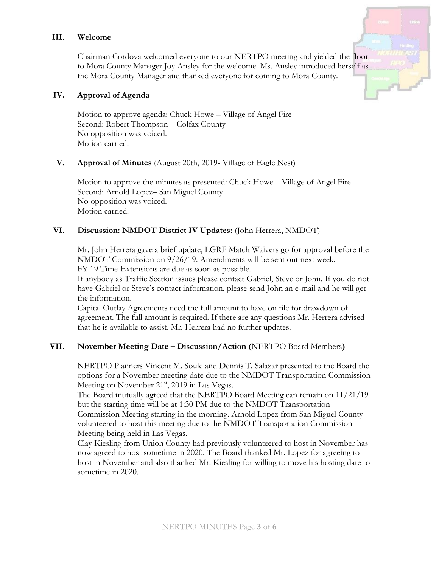#### **III. Welcome**

Chairman Cordova welcomed everyone to our NERTPO meeting and yielded the floor to Mora County Manager Joy Ansley for the welcome. Ms. Ansley introduced herself as the Mora County Manager and thanked everyone for coming to Mora County.

#### **IV. Approval of Agenda**

Motion to approve agenda: Chuck Howe – Village of Angel Fire Second: Robert Thompson – Colfax County No opposition was voiced. Motion carried.

## **V. Approval of Minutes** (August 20th, 2019- Village of Eagle Nest)

Motion to approve the minutes as presented: Chuck Howe – Village of Angel Fire Second: Arnold Lopez– San Miguel County No opposition was voiced. Motion carried.

## **VI. Discussion: NMDOT District IV Updates:** (John Herrera, NMDOT)

Mr. John Herrera gave a brief update, LGRF Match Waivers go for approval before the NMDOT Commission on 9/26/19. Amendments will be sent out next week. FY 19 Time-Extensions are due as soon as possible.

If anybody as Traffic Section issues please contact Gabriel, Steve or John. If you do not have Gabriel or Steve's contact information, please send John an e-mail and he will get the information.

Capital Outlay Agreements need the full amount to have on file for drawdown of agreement. The full amount is required. If there are any questions Mr. Herrera advised that he is available to assist. Mr. Herrera had no further updates.

## **VII. November Meeting Date – Discussion/Action (**NERTPO Board Members**)**

NERTPO Planners Vincent M. Soule and Dennis T. Salazar presented to the Board the options for a November meeting date due to the NMDOT Transportation Commission Meeting on November 21<sup>st</sup>, 2019 in Las Vegas.

The Board mutually agreed that the NERTPO Board Meeting can remain on 11/21/19 but the starting time will be at 1:30 PM due to the NMDOT Transportation Commission Meeting starting in the morning. Arnold Lopez from San Miguel County volunteered to host this meeting due to the NMDOT Transportation Commission Meeting being held in Las Vegas.

Clay Kiesling from Union County had previously volunteered to host in November has now agreed to host sometime in 2020. The Board thanked Mr. Lopez for agreeing to host in November and also thanked Mr. Kiesling for willing to move his hosting date to sometime in 2020.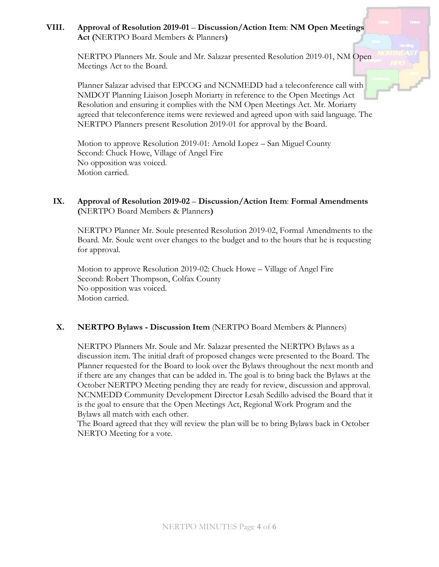# **VIII. Approval of Resolution 2019-01** – **Discussion/Action Item**: **NM Open Meetings Act (**NERTPO Board Members & Planners**)**

NERTPO Planners Mr. Soule and Mr. Salazar presented Resolution 2019-01, NM Open Meetings Act to the Board.

Planner Salazar advised that EPCOG and NCNMEDD had a teleconference call with NMDOT Planning Liaison Joseph Moriarty in reference to the Open Meetings Act Resolution and ensuring it complies with the NM Open Meetings Act. Mr. Moriarty agreed that teleconference items were reviewed and agreed upon with said language. The NERTPO Planners present Resolution 2019-01 for approval by the Board.

Motion to approve Resolution 2019-01: Arnold Lopez – San Miguel County Second: Chuck Howe, Village of Angel Fire No opposition was voiced. Motion carried.

# **IX. Approval of Resolution 2019-02** – **Discussion/Action Item**: **Formal Amendments (**NERTPO Board Members & Planners**)**

NERTPO Planner Mr. Soule presented Resolution 2019-02, Formal Amendments to the Board. Mr. Soule went over changes to the budget and to the hours that he is requesting for approval.

Motion to approve Resolution 2019-02: Chuck Howe – Village of Angel Fire Second: Robert Thompson, Colfax County No opposition was voiced. Motion carried.

## **X. NERTPO Bylaws - Discussion Item** (NERTPO Board Members & Planners)

NERTPO Planners Mr. Soule and Mr. Salazar presented the NERTPO Bylaws as a discussion item. The initial draft of proposed changes were presented to the Board. The Planner requested for the Board to look over the Bylaws throughout the next month and if there are any changes that can be added in. The goal is to bring back the Bylaws at the October NERTPO Meeting pending they are ready for review, discussion and approval. NCNMEDD Community Development Director Lesah Sedillo advised the Board that it is the goal to ensure that the Open Meetings Act, Regional Work Program and the Bylaws all match with each other.

The Board agreed that they will review the plan will be to bring Bylaws back in October NERTO Meeting for a vote.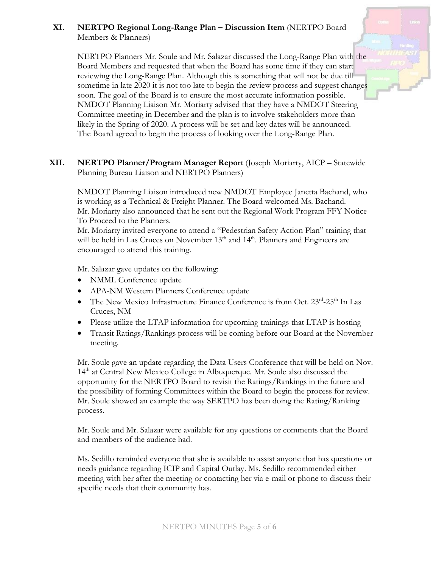# **XI. NERTPO Regional Long-Range Plan – Discussion Item** (NERTPO Board Members & Planners)

NERTPO Planners Mr. Soule and Mr. Salazar discussed the Long-Range Plan with the Board Members and requested that when the Board has some time if they can start reviewing the Long-Range Plan. Although this is something that will not be due till sometime in late 2020 it is not too late to begin the review process and suggest changes soon. The goal of the Board is to ensure the most accurate information possible. NMDOT Planning Liaison Mr. Moriarty advised that they have a NMDOT Steering Committee meeting in December and the plan is to involve stakeholders more than likely in the Spring of 2020. A process will be set and key dates will be announced. The Board agreed to begin the process of looking over the Long-Range Plan.

**XII. NERTPO Planner/Program Manager Report** (Joseph Moriarty, AICP – Statewide Planning Bureau Liaison and NERTPO Planners)

NMDOT Planning Liaison introduced new NMDOT Employee Janetta Bachand, who is working as a Technical & Freight Planner. The Board welcomed Ms. Bachand. Mr. Moriarty also announced that he sent out the Regional Work Program FFY Notice To Proceed to the Planners.

Mr. Moriarty invited everyone to attend a "Pedestrian Safety Action Plan" training that will be held in Las Cruces on November  $13<sup>th</sup>$  and  $14<sup>th</sup>$ . Planners and Engineers are encouraged to attend this training.

Mr. Salazar gave updates on the following:

- NMML Conference update
- APA-NM Western Planners Conference update
- The New Mexico Infrastructure Finance Conference is from Oct. 23<sup>rd</sup>-25<sup>th</sup> In Las Cruces, NM
- Please utilize the LTAP information for upcoming trainings that LTAP is hosting
- Transit Ratings/Rankings process will be coming before our Board at the November meeting.

Mr. Soule gave an update regarding the Data Users Conference that will be held on Nov.  $14<sup>th</sup>$  at Central New Mexico College in Albuquerque. Mr. Soule also discussed the opportunity for the NERTPO Board to revisit the Ratings/Rankings in the future and the possibility of forming Committees within the Board to begin the process for review. Mr. Soule showed an example the way SERTPO has been doing the Rating/Ranking process.

Mr. Soule and Mr. Salazar were available for any questions or comments that the Board and members of the audience had.

Ms. Sedillo reminded everyone that she is available to assist anyone that has questions or needs guidance regarding ICIP and Capital Outlay. Ms. Sedillo recommended either meeting with her after the meeting or contacting her via e-mail or phone to discuss their specific needs that their community has.